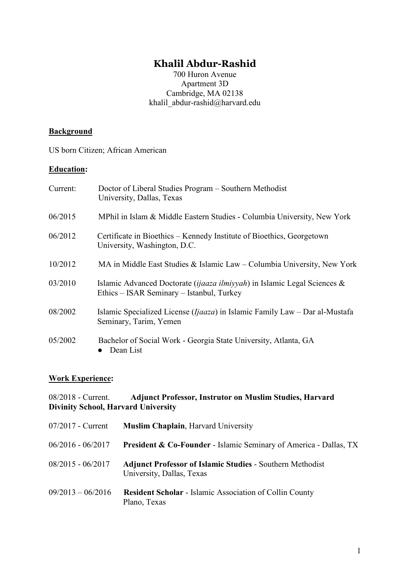# **Khalil Abdur-Rashid**

700 Huron Avenue Apartment 3D Cambridge, MA 02138 khalil abdur-rashid@harvard.edu

# **Background**

US born Citizen; African American

#### **Education:**

| Current: | Doctor of Liberal Studies Program – Southern Methodist<br>University, Dallas, Texas                                            |
|----------|--------------------------------------------------------------------------------------------------------------------------------|
| 06/2015  | MPhil in Islam & Middle Eastern Studies - Columbia University, New York                                                        |
| 06/2012  | Certificate in Bioethics – Kennedy Institute of Bioethics, Georgetown<br>University, Washington, D.C.                          |
| 10/2012  | MA in Middle East Studies & Islamic Law – Columbia University, New York                                                        |
| 03/2010  | Islamic Advanced Doctorate ( <i>ijaaza ilmiyyah</i> ) in Islamic Legal Sciences &<br>Ethics – ISAR Seminary – Istanbul, Turkey |
| 08/2002  | Islamic Specialized License ( $Ijaaza$ ) in Islamic Family Law – Dar al-Mustafa<br>Seminary, Tarim, Yemen                      |
| 05/2002  | Bachelor of Social Work - Georgia State University, Atlanta, GA<br>Dean List                                                   |

# **Work Experience:**

| 08/2018 - Current.                         | <b>Adjunct Professor, Instrutor on Muslim Studies, Harvard</b> |
|--------------------------------------------|----------------------------------------------------------------|
| <b>Divinity School, Harvard University</b> |                                                                |

| $07/2017$ - Current | <b>Muslim Chaplain, Harvard University</b>                                                    |
|---------------------|-----------------------------------------------------------------------------------------------|
| $06/2016 - 06/2017$ | <b>President &amp; Co-Founder - Islamic Seminary of America - Dallas, TX</b>                  |
| $08/2015 - 06/2017$ | <b>Adjunct Professor of Islamic Studies - Southern Methodist</b><br>University, Dallas, Texas |
| $09/2013 - 06/2016$ | <b>Resident Scholar - Islamic Association of Collin County</b><br>Plano, Texas                |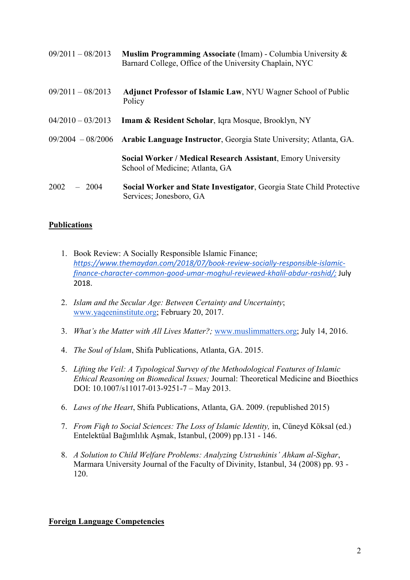| $09/2011 - 08/2013$ | <b>Muslim Programming Associate</b> (Imam) - Columbia University $\&$<br>Barnard College, Office of the University Chaplain, NYC |
|---------------------|----------------------------------------------------------------------------------------------------------------------------------|
| $09/2011 - 08/2013$ | <b>Adjunct Professor of Islamic Law, NYU Wagner School of Public</b><br>Policy                                                   |
| $04/2010 - 03/2013$ | <b>Imam &amp; Resident Scholar, Iqra Mosque, Brooklyn, NY</b>                                                                    |
|                     | 09/2004 - 08/2006 Arabic Language Instructor, Georgia State University; Atlanta, GA.                                             |
|                     | <b>Social Worker / Medical Research Assistant, Emory University</b><br>School of Medicine; Atlanta, GA                           |
| 2002<br>$-2004$     | Social Worker and State Investigator, Georgia State Child Protective<br>Services; Jonesboro, GA                                  |

# **Publications**

- 1. Book Review: A Socially Responsible Islamic Finance; *[https://www.themaydan.com/2018/07/book-review-socially-responsible-islamic](https://urldefense.proofpoint.com/v2/url?u=https-3A__www.themaydan.com_2018_07_book-2Dreview-2Dsocially-2Dresponsible-2Dislamic-2Dfinance-2Dcharacter-2Dcommon-2Dgood-2Dumar-2Dmoghul-2Dreviewed-2Dkhalil-2Dabdur-2Drashid_&d=DwMF-g&c=WO-RGvefibhHBZq3fL85hQ&r=3IVb49kdMB9c68p-tIuXEfCLfGOf7Lo3yD4PCcHen5A&m=_Lqc9qG9XQdj1J1NxsncKCDORnX-r6rfREuSU95o2AY&s=zO4E4hP8V5JpJB5BirFfZcWwhDpDSqzRWaB9LZd9Tcs&e=)[finance-character-common-good-umar-moghul-reviewed-khalil-abdur-rashid/;](https://urldefense.proofpoint.com/v2/url?u=https-3A__www.themaydan.com_2018_07_book-2Dreview-2Dsocially-2Dresponsible-2Dislamic-2Dfinance-2Dcharacter-2Dcommon-2Dgood-2Dumar-2Dmoghul-2Dreviewed-2Dkhalil-2Dabdur-2Drashid_&d=DwMF-g&c=WO-RGvefibhHBZq3fL85hQ&r=3IVb49kdMB9c68p-tIuXEfCLfGOf7Lo3yD4PCcHen5A&m=_Lqc9qG9XQdj1J1NxsncKCDORnX-r6rfREuSU95o2AY&s=zO4E4hP8V5JpJB5BirFfZcWwhDpDSqzRWaB9LZd9Tcs&e=)* [July](https://urldefense.proofpoint.com/v2/url?u=https-3A__www.themaydan.com_2018_07_book-2Dreview-2Dsocially-2Dresponsible-2Dislamic-2Dfinance-2Dcharacter-2Dcommon-2Dgood-2Dumar-2Dmoghul-2Dreviewed-2Dkhalil-2Dabdur-2Drashid_&d=DwMF-g&c=WO-RGvefibhHBZq3fL85hQ&r=3IVb49kdMB9c68p-tIuXEfCLfGOf7Lo3yD4PCcHen5A&m=_Lqc9qG9XQdj1J1NxsncKCDORnX-r6rfREuSU95o2AY&s=zO4E4hP8V5JpJB5BirFfZcWwhDpDSqzRWaB9LZd9Tcs&e=)  [2018.](https://urldefense.proofpoint.com/v2/url?u=https-3A__www.themaydan.com_2018_07_book-2Dreview-2Dsocially-2Dresponsible-2Dislamic-2Dfinance-2Dcharacter-2Dcommon-2Dgood-2Dumar-2Dmoghul-2Dreviewed-2Dkhalil-2Dabdur-2Drashid_&d=DwMF-g&c=WO-RGvefibhHBZq3fL85hQ&r=3IVb49kdMB9c68p-tIuXEfCLfGOf7Lo3yD4PCcHen5A&m=_Lqc9qG9XQdj1J1NxsncKCDORnX-r6rfREuSU95o2AY&s=zO4E4hP8V5JpJB5BirFfZcWwhDpDSqzRWaB9LZd9Tcs&e=)
- 2. *Islam and the Secular Age: Between Certainty and Uncertainty*; [www.yaqeeninstitute.org;](http://www.yaqeeninstitute.org/) February 20, 2017.
- 3. *What's the Matter with All Lives Matter?;* [www.muslimmatters.org;](http://www.muslimmatters.org/) July 14, 2016.
- 4. *The Soul of Islam*, Shifa Publications, Atlanta, GA. 2015.
- 5. *Lifting the Veil: A Typological Survey of the Methodological Features of Islamic Ethical Reasoning on Biomedical Issues;* Journal: Theoretical Medicine and Bioethics DOI: 10.1007/s11017-013-9251-7 – May 2013.
- 6. *Laws of the Heart*, Shifa Publications, Atlanta, GA. 2009. (republished 2015)
- 7. *From Fiqh to Social Sciences: The Loss of Islamic Identity,* in, Cüneyd Köksal (ed.) Entelektüal Bağımlılık Aşmak, Istanbul, (2009) pp.131 - 146.
- 8. *A Solution to Child Welfare Problems: Analyzing Ustrushinis' Ahkam al-Sighar*, Marmara University Journal of the Faculty of Divinity, Istanbul, 34 (2008) pp. 93 - 120.

## **Foreign Language Competencies**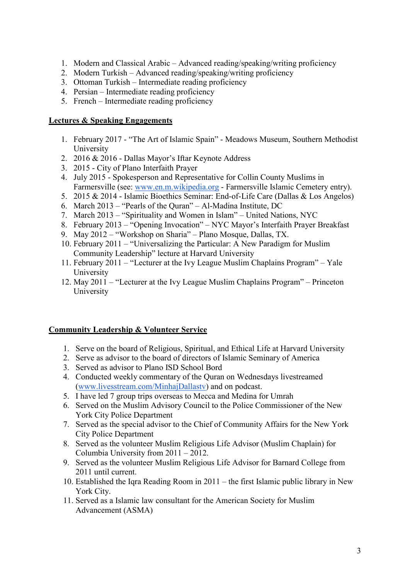- 1. Modern and Classical Arabic Advanced reading/speaking/writing proficiency
- 2. Modern Turkish Advanced reading/speaking/writing proficiency
- 3. Ottoman Turkish Intermediate reading proficiency
- 4. Persian Intermediate reading proficiency
- 5. French Intermediate reading proficiency

## **Lectures & Speaking Engagements**

- 1. February 2017 "The Art of Islamic Spain" Meadows Museum, Southern Methodist University
- 2. 2016 & 2016 Dallas Mayor's Iftar Keynote Address
- 3. 2015 City of Plano Interfaith Prayer
- 4. July 2015 Spokesperson and Representative for Collin County Muslims in Farmersville (see: [www.en.m.wikipedia.org](http://www.en.m.wikipedia.org/) - Farmersville Islamic Cemetery entry).
- 5. 2015 & 2014 Islamic Bioethics Seminar: End-of-Life Care (Dallas & Los Angelos)
- 6. March 2013 "Pearls of the Quran" Al-Madina Institute, DC
- 7. March 2013 "Spirituality and Women in Islam" United Nations, NYC
- 8. February 2013 "Opening Invocation" NYC Mayor's Interfaith Prayer Breakfast
- 9. May 2012 "Workshop on Sharia" Plano Mosque, Dallas, TX.
- 10. February 2011 "Universalizing the Particular: A New Paradigm for Muslim Community Leadership" lecture at Harvard University
- 11. February 2011 "Lecturer at the Ivy League Muslim Chaplains Program" Yale University
- 12. May 2011 "Lecturer at the Ivy League Muslim Chaplains Program" Princeton University

# **Community Leadership & Volunteer Service**

- 1. Serve on the board of Religious, Spiritual, and Ethical Life at Harvard University
- 2. Serve as advisor to the board of directors of Islamic Seminary of America
- 3. Served as advisor to Plano ISD School Bord
- 4. Conducted weekly commentary of the Quran on Wednesdays livestreamed [\(www.livesstream.com/MinhajDallastv\)](http://www.livesstream.com/MinhajDallastv) and on podcast.
- 5. I have led 7 group trips overseas to Mecca and Medina for Umrah
- 6. Served on the Muslim Advisory Council to the Police Commissioner of the New York City Police Department
- 7. Served as the special advisor to the Chief of Community Affairs for the New York City Police Department
- 8. Served as the volunteer Muslim Religious Life Advisor (Muslim Chaplain) for Columbia University from 2011 – 2012.
- 9. Served as the volunteer Muslim Religious Life Advisor for Barnard College from 2011 until current.
- 10. Established the Iqra Reading Room in 2011 the first Islamic public library in New York City.
- 11. Served as a Islamic law consultant for the American Society for Muslim Advancement (ASMA)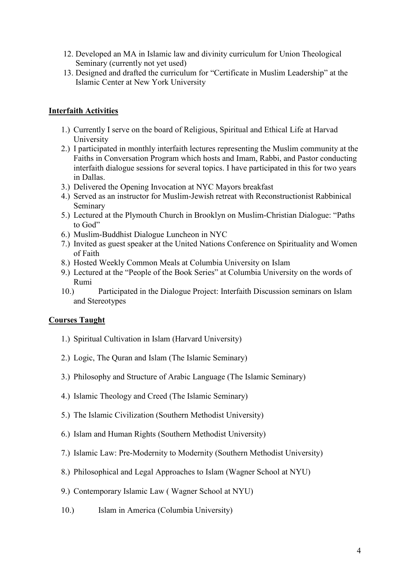- 12. Developed an MA in Islamic law and divinity curriculum for Union Theological Seminary (currently not yet used)
- 13. Designed and drafted the curriculum for "Certificate in Muslim Leadership" at the Islamic Center at New York University

## **Interfaith Activities**

- 1.) Currently I serve on the board of Religious, Spiritual and Ethical Life at Harvad University
- 2.) I participated in monthly interfaith lectures representing the Muslim community at the Faiths in Conversation Program which hosts and Imam, Rabbi, and Pastor conducting interfaith dialogue sessions for several topics. I have participated in this for two years in Dallas.
- 3.) Delivered the Opening Invocation at NYC Mayors breakfast
- 4.) Served as an instructor for Muslim-Jewish retreat with Reconstructionist Rabbinical Seminary
- 5.) Lectured at the Plymouth Church in Brooklyn on Muslim-Christian Dialogue: "Paths to God"
- 6.) Muslim-Buddhist Dialogue Luncheon in NYC
- 7.) Invited as guest speaker at the United Nations Conference on Spirituality and Women of Faith
- 8.) Hosted Weekly Common Meals at Columbia University on Islam
- 9.) Lectured at the "People of the Book Series" at Columbia University on the words of Rumi
- 10.) Participated in the Dialogue Project: Interfaith Discussion seminars on Islam and Stereotypes

## **Courses Taught**

- 1.) Spiritual Cultivation in Islam (Harvard University)
- 2.) Logic, The Quran and Islam (The Islamic Seminary)
- 3.) Philosophy and Structure of Arabic Language (The Islamic Seminary)
- 4.) Islamic Theology and Creed (The Islamic Seminary)
- 5.) The Islamic Civilization (Southern Methodist University)
- 6.) Islam and Human Rights (Southern Methodist University)
- 7.) Islamic Law: Pre-Modernity to Modernity (Southern Methodist University)
- 8.) Philosophical and Legal Approaches to Islam (Wagner School at NYU)
- 9.) Contemporary Islamic Law ( Wagner School at NYU)
- 10.) Islam in America (Columbia University)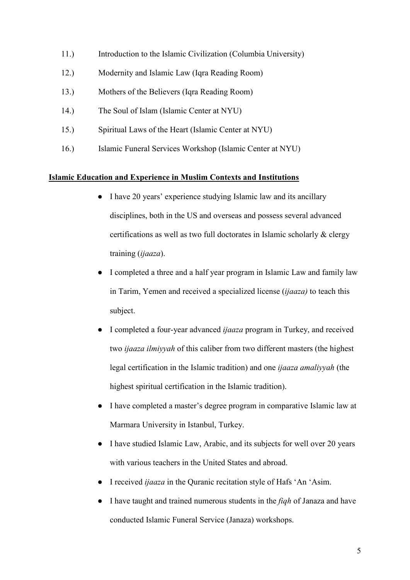- 11.) Introduction to the Islamic Civilization (Columbia University)
- 12.) Modernity and Islamic Law (Iqra Reading Room)
- 13.) Mothers of the Believers (Iqra Reading Room)
- 14.) The Soul of Islam (Islamic Center at NYU)
- 15.) Spiritual Laws of the Heart (Islamic Center at NYU)
- 16.) Islamic Funeral Services Workshop (Islamic Center at NYU)

#### **Islamic Education and Experience in Muslim Contexts and Institutions**

- I have 20 years' experience studying Islamic law and its ancillary disciplines, both in the US and overseas and possess several advanced certifications as well as two full doctorates in Islamic scholarly & clergy training (*ijaaza*).
- I completed a three and a half year program in Islamic Law and family law in Tarim, Yemen and received a specialized license (*ijaaza)* to teach this subject.
- I completed a four-year advanced *ijaaza* program in Turkey, and received two *ijaaza ilmiyyah* of this caliber from two different masters (the highest legal certification in the Islamic tradition) and one *ijaaza amaliyyah* (the highest spiritual certification in the Islamic tradition).
- I have completed a master's degree program in comparative Islamic law at Marmara University in Istanbul, Turkey.
- I have studied Islamic Law, Arabic, and its subjects for well over 20 years with various teachers in the United States and abroad.
- I received *ijaaza* in the Quranic recitation style of Hafs 'An 'Asim.
- I have taught and trained numerous students in the *fiqh* of Janaza and have conducted Islamic Funeral Service (Janaza) workshops.